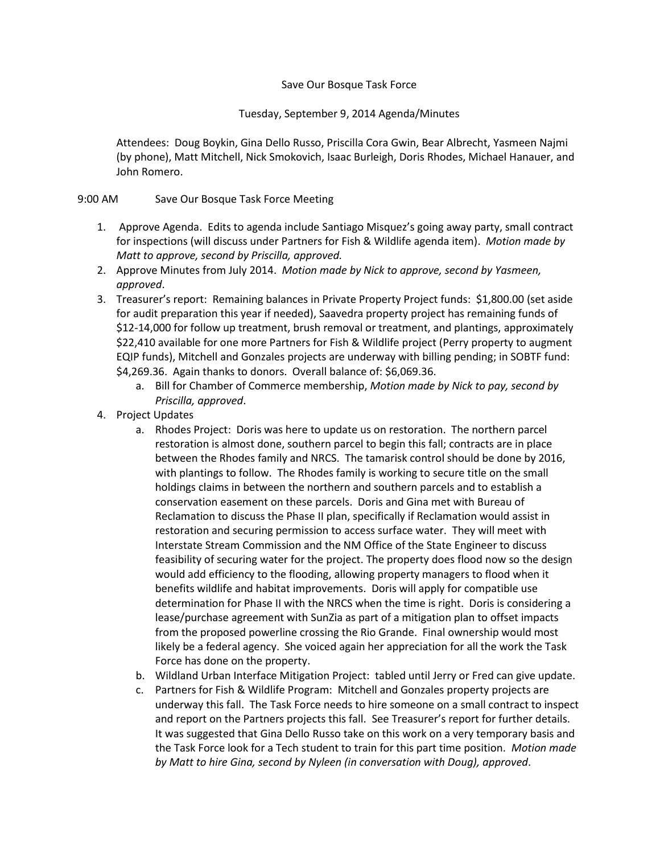## Save Our Bosque Task Force

## Tuesday, September 9, 2014 Agenda/Minutes

Attendees: Doug Boykin, Gina Dello Russo, Priscilla Cora Gwin, Bear Albrecht, Yasmeen Najmi (by phone), Matt Mitchell, Nick Smokovich, Isaac Burleigh, Doris Rhodes, Michael Hanauer, and John Romero.

## 9:00 AM Save Our Bosque Task Force Meeting

- 1. Approve Agenda. Edits to agenda include Santiago Misquez's going away party, small contract for inspections (will discuss under Partners for Fish & Wildlife agenda item). *Motion made by Matt to approve, second by Priscilla, approved.*
- 2. Approve Minutes from July 2014. *Motion made by Nick to approve, second by Yasmeen, approved*.
- 3. Treasurer's report: Remaining balances in Private Property Project funds: \$1,800.00 (set aside for audit preparation this year if needed), Saavedra property project has remaining funds of \$12-14,000 for follow up treatment, brush removal or treatment, and plantings, approximately \$22,410 available for one more Partners for Fish & Wildlife project (Perry property to augment EQIP funds), Mitchell and Gonzales projects are underway with billing pending; in SOBTF fund: \$4,269.36. Again thanks to donors. Overall balance of: \$6,069.36.
	- a. Bill for Chamber of Commerce membership, *Motion made by Nick to pay, second by Priscilla, approved*.
- 4. Project Updates
	- a. Rhodes Project: Doris was here to update us on restoration. The northern parcel restoration is almost done, southern parcel to begin this fall; contracts are in place between the Rhodes family and NRCS. The tamarisk control should be done by 2016, with plantings to follow. The Rhodes family is working to secure title on the small holdings claims in between the northern and southern parcels and to establish a conservation easement on these parcels. Doris and Gina met with Bureau of Reclamation to discuss the Phase II plan, specifically if Reclamation would assist in restoration and securing permission to access surface water. They will meet with Interstate Stream Commission and the NM Office of the State Engineer to discuss feasibility of securing water for the project. The property does flood now so the design would add efficiency to the flooding, allowing property managers to flood when it benefits wildlife and habitat improvements. Doris will apply for compatible use determination for Phase II with the NRCS when the time is right. Doris is considering a lease/purchase agreement with SunZia as part of a mitigation plan to offset impacts from the proposed powerline crossing the Rio Grande. Final ownership would most likely be a federal agency. She voiced again her appreciation for all the work the Task Force has done on the property.
	- b. Wildland Urban Interface Mitigation Project: tabled until Jerry or Fred can give update.
	- c. Partners for Fish & Wildlife Program: Mitchell and Gonzales property projects are underway this fall. The Task Force needs to hire someone on a small contract to inspect and report on the Partners projects this fall. See Treasurer's report for further details. It was suggested that Gina Dello Russo take on this work on a very temporary basis and the Task Force look for a Tech student to train for this part time position. *Motion made by Matt to hire Gina, second by Nyleen (in conversation with Doug), approved*.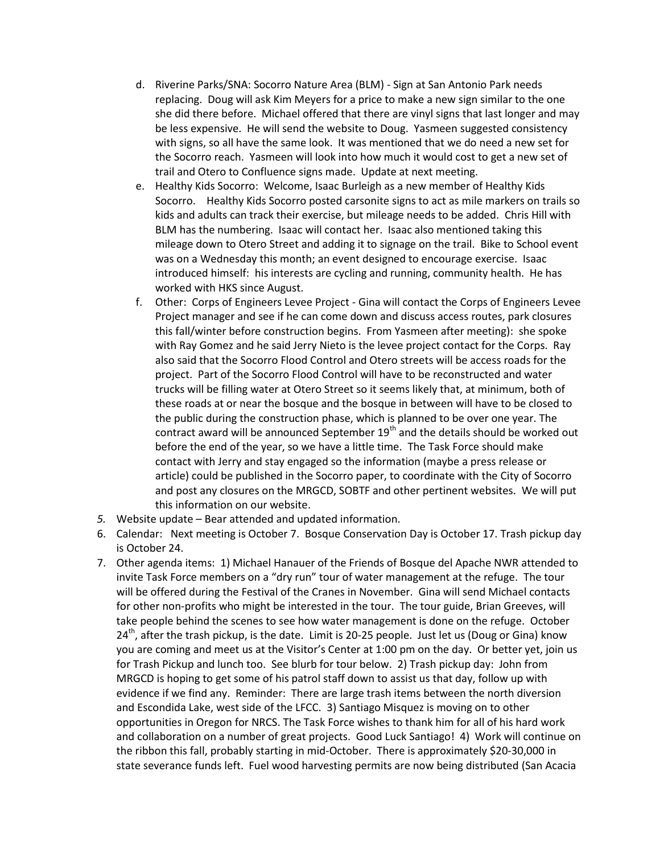- d. Riverine Parks/SNA: Socorro Nature Area (BLM) Sign at San Antonio Park needs replacing. Doug will ask Kim Meyers for a price to make a new sign similar to the one she did there before. Michael offered that there are vinyl signs that last longer and may be less expensive. He will send the website to Doug. Yasmeen suggested consistency with signs, so all have the same look. It was mentioned that we do need a new set for the Socorro reach. Yasmeen will look into how much it would cost to get a new set of trail and Otero to Confluence signs made. Update at next meeting.
- e. Healthy Kids Socorro: Welcome, Isaac Burleigh as a new member of Healthy Kids Socorro. Healthy Kids Socorro posted carsonite signs to act as mile markers on trails so kids and adults can track their exercise, but mileage needs to be added. Chris Hill with BLM has the numbering. Isaac will contact her. Isaac also mentioned taking this mileage down to Otero Street and adding it to signage on the trail. Bike to School event was on a Wednesday this month; an event designed to encourage exercise. Isaac introduced himself: his interests are cycling and running, community health. He has worked with HKS since August.
- f. Other: Corps of Engineers Levee Project Gina will contact the Corps of Engineers Levee Project manager and see if he can come down and discuss access routes, park closures this fall/winter before construction begins. From Yasmeen after meeting): she spoke with Ray Gomez and he said Jerry Nieto is the levee project contact for the Corps. Ray also said that the Socorro Flood Control and Otero streets will be access roads for the project. Part of the Socorro Flood Control will have to be reconstructed and water trucks will be filling water at Otero Street so it seems likely that, at minimum, both of these roads at or near the bosque and the bosque in between will have to be closed to the public during the construction phase, which is planned to be over one year. The contract award will be announced September  $19<sup>th</sup>$  and the details should be worked out before the end of the year, so we have a little time. The Task Force should make contact with Jerry and stay engaged so the information (maybe a press release or article) could be published in the Socorro paper, to coordinate with the City of Socorro and post any closures on the MRGCD, SOBTF and other pertinent websites. We will put this information on our website.
- *5.* Website update Bear attended and updated information.
- 6. Calendar: Next meeting is October 7. Bosque Conservation Day is October 17. Trash pickup day is October 24.
- 7. Other agenda items: 1) Michael Hanauer of the Friends of Bosque del Apache NWR attended to invite Task Force members on a "dry run" tour of water management at the refuge. The tour will be offered during the Festival of the Cranes in November. Gina will send Michael contacts for other non-profits who might be interested in the tour. The tour guide, Brian Greeves, will take people behind the scenes to see how water management is done on the refuge. October  $24<sup>th</sup>$ , after the trash pickup, is the date. Limit is 20-25 people. Just let us (Doug or Gina) know you are coming and meet us at the Visitor's Center at 1:00 pm on the day. Or better yet, join us for Trash Pickup and lunch too. See blurb for tour below. 2) Trash pickup day: John from MRGCD is hoping to get some of his patrol staff down to assist us that day, follow up with evidence if we find any. Reminder: There are large trash items between the north diversion and Escondida Lake, west side of the LFCC. 3) Santiago Misquez is moving on to other opportunities in Oregon for NRCS. The Task Force wishes to thank him for all of his hard work and collaboration on a number of great projects. Good Luck Santiago! 4) Work will continue on the ribbon this fall, probably starting in mid-October. There is approximately \$20-30,000 in state severance funds left. Fuel wood harvesting permits are now being distributed (San Acacia